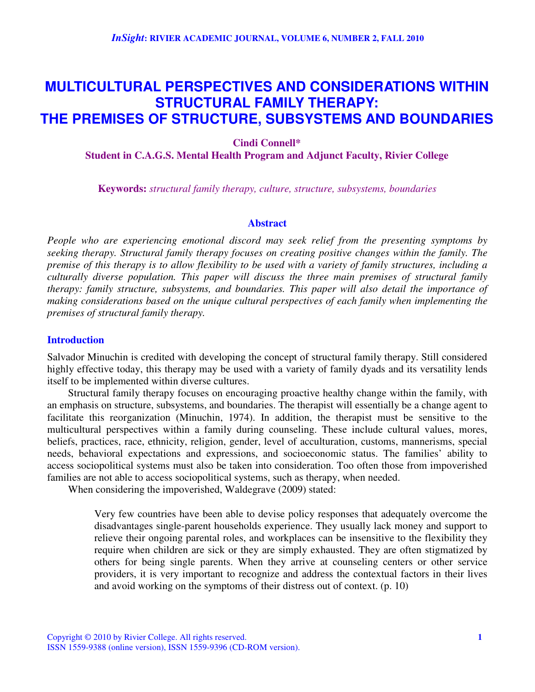# **MULTICULTURAL PERSPECTIVES AND CONSIDERATIONS WITHIN STRUCTURAL FAMILY THERAPY: THE PREMISES OF STRUCTURE, SUBSYSTEMS AND BOUNDARIES**

# **Cindi Connell\* Student in C.A.G.S. Mental Health Program and Adjunct Faculty, Rivier College**

**Keywords:** *structural family therapy, culture, structure, subsystems, boundaries*

#### **Abstract**

*People who are experiencing emotional discord may seek relief from the presenting symptoms by seeking therapy. Structural family therapy focuses on creating positive changes within the family. The* premise of this therapy is to allow flexibility to be used with a variety of family structures, including a *culturally diverse population. This paper will discuss the three main premises of structural family therapy: family structure, subsystems, and boundaries. This paper will also detail the importance of making considerations based on the unique cultural perspectives of each family when implementing the premises of structural family therapy.*

## **Introduction**

Salvador Minuchin is credited with developing the concept of structural family therapy. Still considered highly effective today, this therapy may be used with a variety of family dyads and its versatility lends itself to be implemented within diverse cultures.

Structural family therapy focuses on encouraging proactive healthy change within the family, with an emphasis on structure, subsystems, and boundaries. The therapist will essentially be a change agent to facilitate this reorganization (Minuchin, 1974). In addition, the therapist must be sensitive to the multicultural perspectives within a family during counseling. These include cultural values, mores, beliefs, practices, race, ethnicity, religion, gender, level of acculturation, customs, mannerisms, special needs, behavioral expectations and expressions, and socioeconomic status. The families' ability to access sociopolitical systems must also be taken into consideration. Too often those from impoverished families are not able to access sociopolitical systems, such as therapy, when needed.

When considering the impoverished, Waldegrave (2009) stated:

Very few countries have been able to devise policy responses that adequately overcome the disadvantages single-parent households experience. They usually lack money and support to relieve their ongoing parental roles, and workplaces can be insensitive to the flexibility they require when children are sick or they are simply exhausted. They are often stigmatized by others for being single parents. When they arrive at counseling centers or other service providers, it is very important to recognize and address the contextual factors in their lives and avoid working on the symptoms of their distress out of context. (p. 10)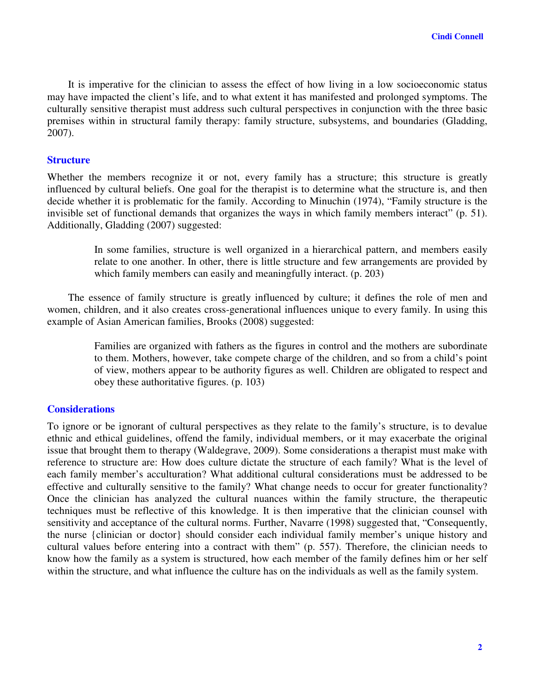It is imperative for the clinician to assess the effect of how living in a low socioeconomic status may have impacted the client's life, and to what extent it has manifested and prolonged symptoms. The culturally sensitive therapist must address such cultural perspectives in conjunction with the three basic premises within in structural family therapy: family structure, subsystems, and boundaries (Gladding, 2007).

## **Structure**

Whether the members recognize it or not, every family has a structure; this structure is greatly influenced by cultural beliefs. One goal for the therapist is to determine what the structure is, and then decide whether it is problematic for the family. According to Minuchin (1974), "Family structure is the invisible set of functional demands that organizes the ways in which family members interact" (p. 51). Additionally, Gladding (2007) suggested:

> In some families, structure is well organized in a hierarchical pattern, and members easily relate to one another. In other, there is little structure and few arrangements are provided by which family members can easily and meaningfully interact. (p. 203)

The essence of family structure is greatly influenced by culture; it defines the role of men and women, children, and it also creates cross-generational influences unique to every family. In using this example of Asian American families, Brooks (2008) suggested:

> Families are organized with fathers as the figures in control and the mothers are subordinate to them. Mothers, however, take compete charge of the children, and so from a child's point of view, mothers appear to be authority figures as well. Children are obligated to respect and obey these authoritative figures. (p. 103)

# **Considerations**

To ignore or be ignorant of cultural perspectives as they relate to the family's structure, is to devalue ethnic and ethical guidelines, offend the family, individual members, or it may exacerbate the original issue that brought them to therapy (Waldegrave, 2009). Some considerations a therapist must make with reference to structure are: How does culture dictate the structure of each family? What is the level of each family member's acculturation? What additional cultural considerations must be addressed to be effective and culturally sensitive to the family? What change needs to occur for greater functionality? Once the clinician has analyzed the cultural nuances within the family structure, the therapeutic techniques must be reflective of this knowledge. It is then imperative that the clinician counsel with sensitivity and acceptance of the cultural norms. Further, Navarre (1998) suggested that, "Consequently, the nurse {clinician or doctor} should consider each individual family member's unique history and cultural values before entering into a contract with them" (p. 557). Therefore, the clinician needs to know how the family as a system is structured, how each member of the family defines him or her self within the structure, and what influence the culture has on the individuals as well as the family system.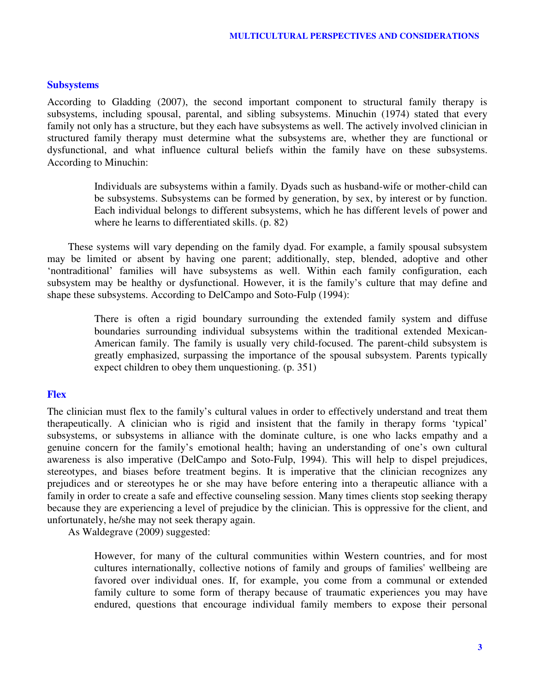## **Subsystems**

According to Gladding (2007), the second important component to structural family therapy is subsystems, including spousal, parental, and sibling subsystems. Minuchin (1974) stated that every family not only has a structure, but they each have subsystems as well. The actively involved clinician in structured family therapy must determine what the subsystems are, whether they are functional or dysfunctional, and what influence cultural beliefs within the family have on these subsystems. According to Minuchin:

> Individuals are subsystems within a family. Dyads such as husband-wife or mother-child can be subsystems. Subsystems can be formed by generation, by sex, by interest or by function. Each individual belongs to different subsystems, which he has different levels of power and where he learns to differentiated skills. (p. 82)

These systems will vary depending on the family dyad. For example, a family spousal subsystem may be limited or absent by having one parent; additionally, step, blended, adoptive and other 'nontraditional' families will have subsystems as well. Within each family configuration, each subsystem may be healthy or dysfunctional. However, it is the family's culture that may define and shape these subsystems. According to DelCampo and Soto-Fulp (1994):

> There is often a rigid boundary surrounding the extended family system and diffuse boundaries surrounding individual subsystems within the traditional extended Mexican-American family. The family is usually very child-focused. The parent-child subsystem is greatly emphasized, surpassing the importance of the spousal subsystem. Parents typically expect children to obey them unquestioning. (p. 351)

## **Flex**

The clinician must flex to the family's cultural values in order to effectively understand and treat them therapeutically. A clinician who is rigid and insistent that the family in therapy forms 'typical' subsystems, or subsystems in alliance with the dominate culture, is one who lacks empathy and a genuine concern for the family's emotional health; having an understanding of one's own cultural awareness is also imperative (DelCampo and Soto-Fulp, 1994). This will help to dispel prejudices, stereotypes, and biases before treatment begins. It is imperative that the clinician recognizes any prejudices and or stereotypes he or she may have before entering into a therapeutic alliance with a family in order to create a safe and effective counseling session. Many times clients stop seeking therapy because they are experiencing a level of prejudice by the clinician. This is oppressive for the client, and unfortunately, he/she may not seek therapy again.

As Waldegrave (2009) suggested:

However, for many of the cultural communities within Western countries, and for most cultures internationally, collective notions of family and groups of families' wellbeing are favored over individual ones. If, for example, you come from a communal or extended family culture to some form of therapy because of traumatic experiences you may have endured, questions that encourage individual family members to expose their personal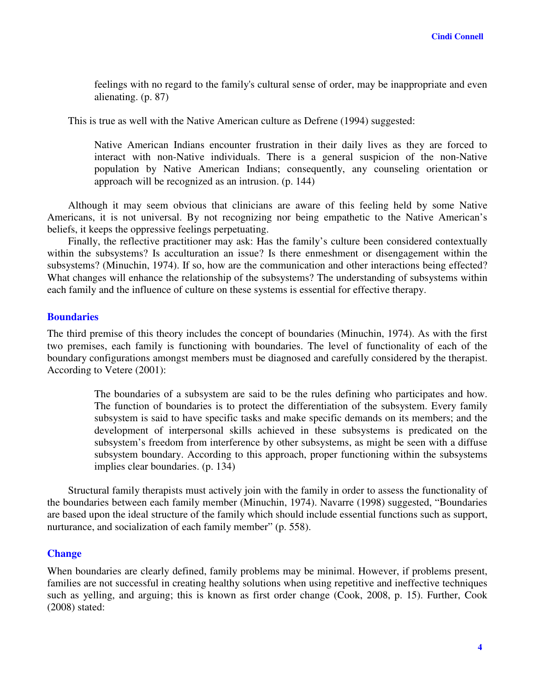feelings with no regard to the family's cultural sense of order, may be inappropriate and even alienating. (p. 87)

This is true as well with the Native American culture as Defrene (1994) suggested:

Native American Indians encounter frustration in their daily lives as they are forced to interact with non-Native individuals. There is a general suspicion of the non-Native population by Native American Indians; consequently, any counseling orientation or approach will be recognized as an intrusion. (p. 144)

Although it may seem obvious that clinicians are aware of this feeling held by some Native Americans, it is not universal. By not recognizing nor being empathetic to the Native American's beliefs, it keeps the oppressive feelings perpetuating.

Finally, the reflective practitioner may ask: Has the family's culture been considered contextually within the subsystems? Is acculturation an issue? Is there enmeshment or disengagement within the subsystems? (Minuchin, 1974). If so, how are the communication and other interactions being effected? What changes will enhance the relationship of the subsystems? The understanding of subsystems within each family and the influence of culture on these systems is essential for effective therapy.

## **Boundaries**

The third premise of this theory includes the concept of boundaries (Minuchin, 1974). As with the first two premises, each family is functioning with boundaries. The level of functionality of each of the boundary configurations amongst members must be diagnosed and carefully considered by the therapist. According to Vetere (2001):

> The boundaries of a subsystem are said to be the rules defining who participates and how. The function of boundaries is to protect the differentiation of the subsystem. Every family subsystem is said to have specific tasks and make specific demands on its members; and the development of interpersonal skills achieved in these subsystems is predicated on the subsystem's freedom from interference by other subsystems, as might be seen with a diffuse subsystem boundary. According to this approach, proper functioning within the subsystems implies clear boundaries. (p. 134)

Structural family therapists must actively join with the family in order to assess the functionality of the boundaries between each family member (Minuchin, 1974). Navarre (1998) suggested, "Boundaries are based upon the ideal structure of the family which should include essential functions such as support, nurturance, and socialization of each family member" (p. 558).

### **Change**

When boundaries are clearly defined, family problems may be minimal. However, if problems present, families are not successful in creating healthy solutions when using repetitive and ineffective techniques such as yelling, and arguing; this is known as first order change (Cook, 2008, p. 15). Further, Cook (2008) stated: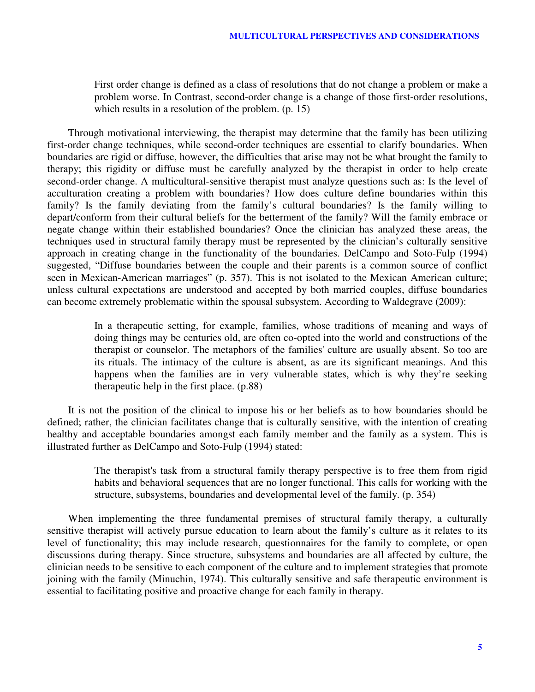First order change is defined as a class of resolutions that do not change a problem or make a problem worse. In Contrast, second-order change is a change of those first-order resolutions, which results in a resolution of the problem. (p. 15)

Through motivational interviewing, the therapist may determine that the family has been utilizing first-order change techniques, while second-order techniques are essential to clarify boundaries. When boundaries are rigid or diffuse, however, the difficulties that arise may not be what brought the family to therapy; this rigidity or diffuse must be carefully analyzed by the therapist in order to help create second-order change. A multicultural-sensitive therapist must analyze questions such as: Is the level of acculturation creating a problem with boundaries? How does culture define boundaries within this family? Is the family deviating from the family's cultural boundaries? Is the family willing to depart/conform from their cultural beliefs for the betterment of the family? Will the family embrace or negate change within their established boundaries? Once the clinician has analyzed these areas, the techniques used in structural family therapy must be represented by the clinician's culturally sensitive approach in creating change in the functionality of the boundaries. DelCampo and Soto-Fulp (1994) suggested, "Diffuse boundaries between the couple and their parents is a common source of conflict seen in Mexican-American marriages" (p. 357). This is not isolated to the Mexican American culture; unless cultural expectations are understood and accepted by both married couples, diffuse boundaries can become extremely problematic within the spousal subsystem. According to Waldegrave (2009):

> In a therapeutic setting, for example, families, whose traditions of meaning and ways of doing things may be centuries old, are often co-opted into the world and constructions of the therapist or counselor. The metaphors of the families' culture are usually absent. So too are its rituals. The intimacy of the culture is absent, as are its significant meanings. And this happens when the families are in very vulnerable states, which is why they're seeking therapeutic help in the first place. (p.88)

It is not the position of the clinical to impose his or her beliefs as to how boundaries should be defined; rather, the clinician facilitates change that is culturally sensitive, with the intention of creating healthy and acceptable boundaries amongst each family member and the family as a system. This is illustrated further as DelCampo and Soto-Fulp (1994) stated:

> The therapist's task from a structural family therapy perspective is to free them from rigid habits and behavioral sequences that are no longer functional. This calls for working with the structure, subsystems, boundaries and developmental level of the family. (p. 354)

When implementing the three fundamental premises of structural family therapy, a culturally sensitive therapist will actively pursue education to learn about the family's culture as it relates to its level of functionality; this may include research, questionnaires for the family to complete, or open discussions during therapy. Since structure, subsystems and boundaries are all affected by culture, the clinician needs to be sensitive to each component of the culture and to implement strategies that promote joining with the family (Minuchin, 1974). This culturally sensitive and safe therapeutic environment is essential to facilitating positive and proactive change for each family in therapy.